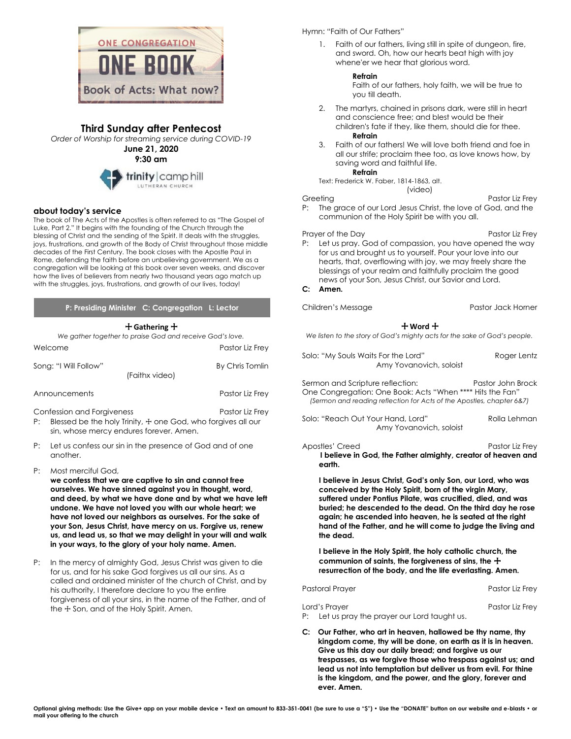

# **Third Sunday after Pentecost**

*Order of Worship for streaming service during COVID-19*

**June 21, 2020 9:30 am**



## **about today's service**

The book of The Acts of the Apostles is often referred to as "The Gospel of Luke, Part 2." It begins with the founding of the Church through the blessing of Christ and the sending of the Spirit. It deals with the struggles, joys, frustrations, and growth of the Body of Christ throughout those middle decades of the First Century. The book closes with the Apostle Paul in Rome, defending the faith before an unbelieving government. We as a congregation will be looking at this book over seven weeks, and discover how the lives of believers from nearly two thousand years ago match up with the struggles, joys, frustrations, and growth of our lives, today!

## **P: Presiding Minister C: Congregation L: Lector**

### + **Gathering** +

*We gather together to praise God and receive God's love.* Welcome Pastor Liz Frey

| Song: "I Will Follow"                                                                                 | (Faithx video) | By Chris Tomlin |
|-------------------------------------------------------------------------------------------------------|----------------|-----------------|
| Announcements                                                                                         |                | Pastor Liz Frey |
| Confession and Forgiveness<br>Dr. Dlessed les des les listuaires Tresse Carolicules formuses elles un |                | Pastor Liz Frey |

- P: Blessed be the holy Trinity,  $\frac{1}{2}$  one God, who forgives all our sin, whose mercy endures forever. Amen.
- P: Let us confess our sin in the presence of God and of one another.
- P: Most merciful God,
	- **we confess that we are captive to sin and cannot free ourselves. We have sinned against you in thought, word, and deed, by what we have done and by what we have left undone. We have not loved you with our whole heart; we have not loved our neighbors as ourselves. For the sake of your Son, Jesus Christ, have mercy on us. Forgive us, renew us, and lead us, so that we may delight in your will and walk in your ways, to the glory of your holy name. Amen.**
- P: In the mercy of almighty God, Jesus Christ was given to die for us, and for his sake God forgives us all our sins. As a called and ordained minister of the church of Christ, and by his authority, I therefore declare to you the entire forgiveness of all your sins, in the name of the Father, and of the  $\pm$  Son, and of the Holy Spirit. Amen.

## Hymn: "Faith of Our Fathers"

1. Faith of our fathers, living still in spite of dungeon, fire, and sword. Oh, how our hearts beat high with joy whene'er we hear that glorious word.

### **Refrain**

Faith of our fathers, holy faith, we will be true to you till death.

- 2. The martyrs, chained in prisons dark, were still in heart and conscience free; and blest would be their children's fate if they, like them, should die for thee. **Refrain**
- 3. Faith of our fathers! We will love both friend and foe in all our strife; proclaim thee too, as love knows how, by saving word and faithful life.

**Refrain**

Text: Frederick W. Faber, 1814-1863, alt. (video)

Greeting **Pastor Liz Frey** P: The grace of our Lord Jesus Christ, the love of God, and the communion of the Holy Spirit be with you all.

#### Prayer of the Day Prayers of the Day P: Let us pray. God of compassion, you have opened the way for us and brought us to yourself. Pour your love into our hearts, that, overflowing with joy, we may freely share the blessings of your realm and faithfully proclaim the good news of your Son, Jesus Christ, our Savior and Lord.

#### **C: Amen.**

Children's Message **Pastor Jack Horner** Pastor Jack Horner

## + **Word** +

*We listen to the story of God's mighty acts for the sake of God's people.*

Solo: "My Souls Waits For the Lord" Roger Lentz Amy Yovanovich, soloist

Sermon and Scripture reflection: Pastor John Brock One Congregation: One Book: Acts "When \*\*\*\* Hits the Fan" *(Sermon and reading reflection for Acts of the Apostles, chapter 6&7)*

Solo: "Reach Out Your Hand, Lord" Rolla Lehman Amy Yovanovich, soloist

Apostles' Creed **Pastor Liz Frey I believe in God, the Father almighty, creator of heaven and earth.**

**I believe in Jesus Christ, God's only Son, our Lord, who was conceived by the Holy Spirit, born of the virgin Mary, suffered under Pontius Pilate, was crucified, died, and was buried; he descended to the dead. On the third day he rose again; he ascended into heaven, he is seated at the right hand of the Father, and he will come to judge the living and the dead.**

**I believe in the Holy Spirit, the holy catholic church, the**  communion of saints, the forgiveness of sins, the  $+$ **resurrection of the body, and the life everlasting. Amen.**

Pastoral Prayer Pastor Liz Frey

| Lord's Prayer                                 | Pastor Liz Frey |
|-----------------------------------------------|-----------------|
| P: Let us pray the prayer our Lord taught us. |                 |

**C: Our Father, who art in heaven, hallowed be thy name, thy kingdom come, thy will be done, on earth as it is in heaven. Give us this day our daily bread; and forgive us our trespasses, as we forgive those who trespass against us; and lead us not into temptation but deliver us from evil. For thine is the kingdom, and the power, and the glory, forever and ever. Amen.**